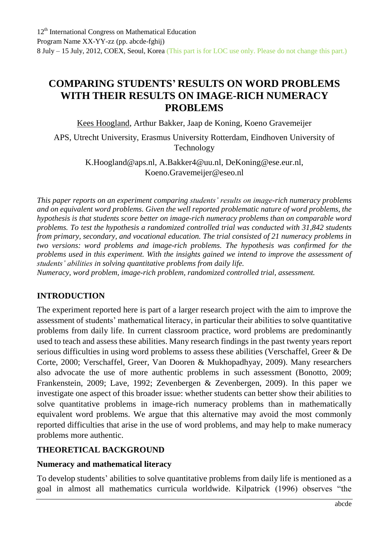# **COMPARING STUDENTS' RESULTS ON WORD PROBLEMS WITH THEIR RESULTS ON IMAGE-RICH NUMERACY PROBLEMS**

Kees Hoogland, Arthur Bakker, Jaap de Koning, Koeno Gravemeijer

APS, Utrecht University, Erasmus University Rotterdam, Eindhoven University of Technology

> [K.Hoogland@aps.nl,](mailto:K.Hoogland@aps.nl) [A.Bakker4@uu.nl,](mailto:A.Bakker4@uu.nl) [DeKoning@ese.eur.nl,](mailto:DeKoning@ese.eur.nl) [Koeno.Gravemeijer@eseo.nl](mailto:Koeno.Gravemeijer@eseo.nl)

*This paper reports on an experiment comparing students' results on image-rich numeracy problems and on equivalent word problems. Given the well reported problematic nature of word problems, the hypothesis is that students score better on image-rich numeracy problems than on comparable word problems. To test the hypothesis a randomized controlled trial was conducted with 31,842 students from primary, secondary, and vocational education. The trial consisted of 21 numeracy problems in two versions: word problems and image-rich problems. The hypothesis was confirmed for the problems used in this experiment. With the insights gained we intend to improve the assessment of students' abilities in solving quantitative problems from daily life.*

*Numeracy, word problem, image-rich problem, randomized controlled trial, assessment.*

#### **INTRODUCTION**

The experiment reported here is part of a larger research project with the aim to improve the assessment of students' mathematical literacy, in particular their abilities to solve quantitative problems from daily life. In current classroom practice, word problems are predominantly used to teach and assess these abilities. Many research findings in the past twenty years report serious difficulties in using word problems to assess these abilities (Verschaffel, Greer & De Corte, 2000; Verschaffel, Greer, Van Dooren & Mukhopadhyay, 2009). Many researchers also advocate the use of more authentic problems in such assessment (Bonotto, 2009; Frankenstein, 2009; Lave, 1992; Zevenbergen & Zevenbergen, 2009). In this paper we investigate one aspect of this broader issue: whether students can better show their abilities to solve quantitative problems in image-rich numeracy problems than in mathematically equivalent word problems. We argue that this alternative may avoid the most commonly reported difficulties that arise in the use of word problems, and may help to make numeracy problems more authentic.

### **THEORETICAL BACKGROUND**

#### **Numeracy and mathematical literacy**

To develop students' abilities to solve quantitative problems from daily life is mentioned as a goal in almost all mathematics curricula worldwide. Kilpatrick (1996) observes "the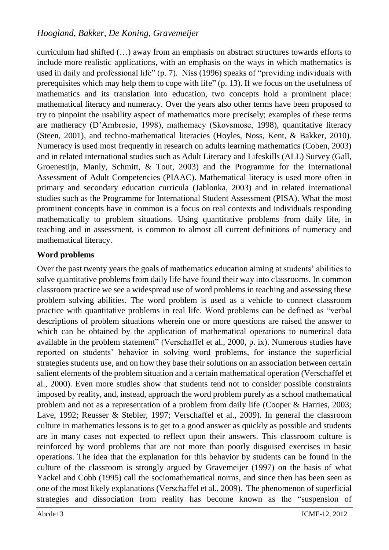curriculum had shifted (…) away from an emphasis on abstract structures towards efforts to include more realistic applications, with an emphasis on the ways in which mathematics is used in daily and professional life" (p. 7). Niss (1996) speaks of "providing individuals with prerequisites which may help them to cope with life" (p. 13). If we focus on the usefulness of mathematics and its translation into education, two concepts hold a prominent place: mathematical literacy and numeracy. Over the years also other terms have been proposed to try to pinpoint the usability aspect of mathematics more precisely; examples of these terms are matheracy (D'Ambrosio, 1998), mathemacy (Skovsmose, 1998), quantitative literacy (Steen, 2001), and techno-mathematical literacies (Hoyles, Noss, Kent, & Bakker, 2010). Numeracy is used most frequently in research on adults learning mathematics (Coben, 2003) and in related international studies such as Adult Literacy and Lifeskills (ALL) Survey (Gall, Groenestijn, Manly, Schmitt, & Tout, 2003) and the Programme for the International Assessment of Adult Competencies (PIAAC). Mathematical literacy is used more often in primary and secondary education curricula (Jablonka, 2003) and in related international studies such as the Programme for International Student Assessment (PISA). What the most prominent concepts have in common is a focus on real contexts and individuals responding mathematically to problem situations. Using quantitative problems from daily life, in teaching and in assessment, is common to almost all current definitions of numeracy and mathematical literacy.

### **Word problems**

Over the past twenty years the goals of mathematics education aiming at students' abilities to solve quantitative problems from daily life have found their way into classrooms. In common classroom practice we see a widespread use of word problems in teaching and assessing these problem solving abilities. The word problem is used as a vehicle to connect classroom practice with quantitative problems in real life. Word problems can be defined as "verbal descriptions of problem situations wherein one or more questions are raised the answer to which can be obtained by the application of mathematical operations to numerical data available in the problem statement" (Verschaffel et al., 2000, p. ix). Numerous studies have reported on students' behavior in solving word problems, for instance the superficial strategies students use, and on how they base their solutions on an association between certain salient elements of the problem situation and a certain mathematical operation (Verschaffel et al., 2000). Even more studies show that students tend not to consider possible constraints imposed by reality, and, instead, approach the word problem purely as a school mathematical problem and not as a representation of a problem from daily life (Cooper & Harries, 2003; Lave, 1992; Reusser & Stebler, 1997; Verschaffel et al., 2009). In general the classroom culture in mathematics lessons is to get to a good answer as quickly as possible and students are in many cases not expected to reflect upon their answers. This classroom culture is reinforced by word problems that are not more than poorly disguised exercises in basic operations. The idea that the explanation for this behavior by students can be found in the culture of the classroom is strongly argued by Gravemeijer (1997) on the basis of what Yackel and Cobb (1995) call the sociomathematical norms, and since then has been seen as one of the most likely explanations (Verschaffel et al., 2009). The phenomenon of superficial strategies and dissociation from reality has become known as the "suspension of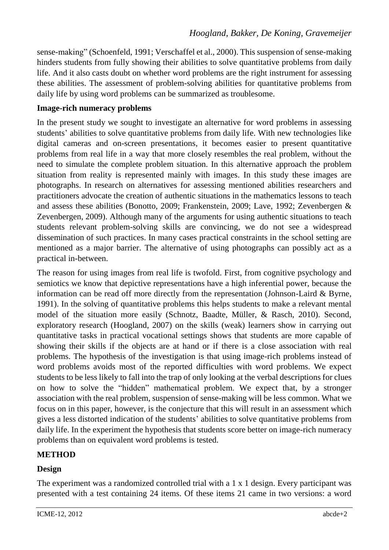sense-making" (Schoenfeld, 1991; Verschaffel et al., 2000). This suspension of sense-making hinders students from fully showing their abilities to solve quantitative problems from daily life. And it also casts doubt on whether word problems are the right instrument for assessing these abilities. The assessment of problem-solving abilities for quantitative problems from daily life by using word problems can be summarized as troublesome.

#### **Image-rich numeracy problems**

In the present study we sought to investigate an alternative for word problems in assessing students' abilities to solve quantitative problems from daily life. With new technologies like digital cameras and on-screen presentations, it becomes easier to present quantitative problems from real life in a way that more closely resembles the real problem, without the need to simulate the complete problem situation. In this alternative approach the problem situation from reality is represented mainly with images. In this study these images are photographs. In research on alternatives for assessing mentioned abilities researchers and practitioners advocate the creation of authentic situations in the mathematics lessons to teach and assess these abilities (Bonotto, 2009; Frankenstein, 2009; Lave, 1992; Zevenbergen & Zevenbergen, 2009). Although many of the arguments for using authentic situations to teach students relevant problem-solving skills are convincing, we do not see a widespread dissemination of such practices. In many cases practical constraints in the school setting are mentioned as a major barrier. The alternative of using photographs can possibly act as a practical in-between.

The reason for using images from real life is twofold. First, from cognitive psychology and semiotics we know that depictive representations have a high inferential power, because the information can be read off more directly from the representation (Johnson-Laird & Byrne, 1991). In the solving of quantitative problems this helps students to make a relevant mental model of the situation more easily (Schnotz, Baadte, Müller, & Rasch, 2010). Second, exploratory research (Hoogland, 2007) on the skills (weak) learners show in carrying out quantitative tasks in practical vocational settings shows that students are more capable of showing their skills if the objects are at hand or if there is a close association with real problems. The hypothesis of the investigation is that using image-rich problems instead of word problems avoids most of the reported difficulties with word problems. We expect students to be less likely to fall into the trap of only looking at the verbal descriptions for clues on how to solve the "hidden" mathematical problem. We expect that, by a stronger association with the real problem, suspension of sense-making will be less common. What we focus on in this paper, however, is the conjecture that this will result in an assessment which gives a less distorted indication of the students' abilities to solve quantitative problems from daily life. In the experiment the hypothesis that students score better on image-rich numeracy problems than on equivalent word problems is tested.

#### **METHOD**

### **Design**

The experiment was a randomized controlled trial with a 1 x 1 design. Every participant was presented with a test containing 24 items. Of these items 21 came in two versions: a word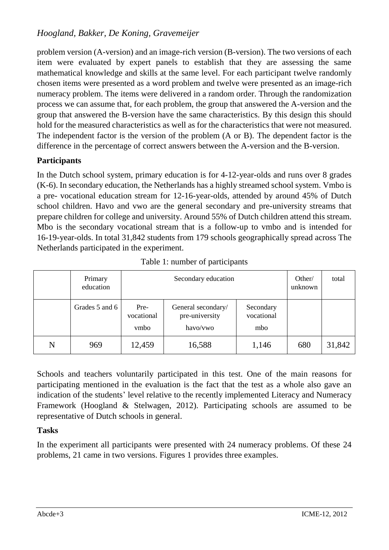problem version (A-version) and an image-rich version (B-version). The two versions of each item were evaluated by expert panels to establish that they are assessing the same mathematical knowledge and skills at the same level. For each participant twelve randomly chosen items were presented as a word problem and twelve were presented as an image-rich numeracy problem. The items were delivered in a random order. Through the randomization process we can assume that, for each problem, the group that answered the A-version and the group that answered the B-version have the same characteristics. By this design this should hold for the measured characteristics as well as for the characteristics that were not measured. The independent factor is the version of the problem (A or B). The dependent factor is the difference in the percentage of correct answers between the A-version and the B-version.

### **Participants**

In the Dutch school system, primary education is for 4-12-year-olds and runs over 8 grades (K-6). In secondary education, the Netherlands has a highly streamed school system. Vmbo is a pre- vocational education stream for 12-16-year-olds, attended by around 45% of Dutch school children. Havo and vwo are the general secondary and pre-university streams that prepare children for college and university. Around 55% of Dutch children attend this stream. Mbo is the secondary vocational stream that is a follow-up to vmbo and is intended for 16-19-year-olds. In total 31,842 students from 179 schools geographically spread across The Netherlands participated in the experiment.

|   | Primary<br>education | Secondary education        |                                                  |                                | Other/<br>unknown | total  |
|---|----------------------|----------------------------|--------------------------------------------------|--------------------------------|-------------------|--------|
|   | Grades 5 and 6       | Pre-<br>vocational<br>vmbo | General secondary/<br>pre-university<br>havo/vwo | Secondary<br>vocational<br>mbo |                   |        |
| N | 969                  | 12,459                     | 16,588                                           | 1,146                          | 680               | 31,842 |

Schools and teachers voluntarily participated in this test. One of the main reasons for participating mentioned in the evaluation is the fact that the test as a whole also gave an indication of the students' level relative to the recently implemented Literacy and Numeracy Framework (Hoogland & Stelwagen, 2012). Participating schools are assumed to be representative of Dutch schools in general.

### **Tasks**

In the experiment all participants were presented with 24 numeracy problems. Of these 24 problems, 21 came in two versions. Figures 1 provides three examples.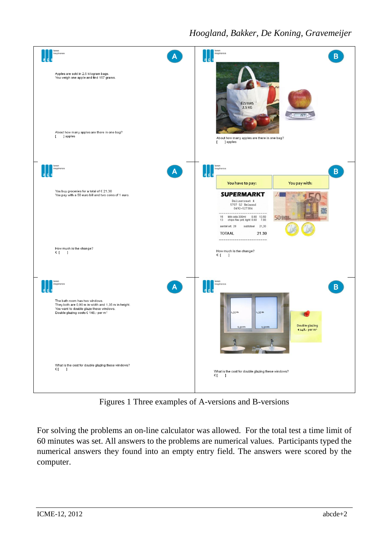

Figures 1 Three examples of A-versions and B-versions

For solving the problems an on-line calculator was allowed. For the total test a time limit of 60 minutes was set. All answers to the problems are numerical values. Participants typed the numerical answers they found into an empty entry field. The answers were scored by the computer.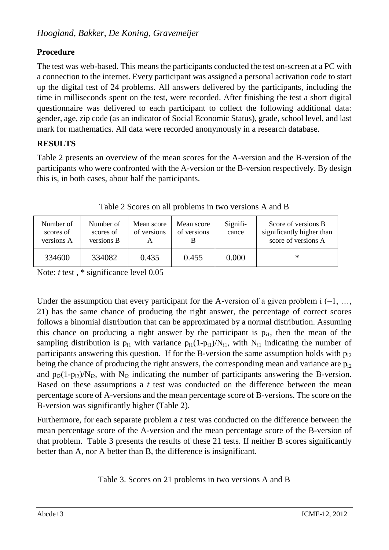# **Procedure**

The test was web-based. This means the participants conducted the test on-screen at a PC with a connection to the internet. Every participant was assigned a personal activation code to start up the digital test of 24 problems. All answers delivered by the participants, including the time in milliseconds spent on the test, were recorded. After finishing the test a short digital questionnaire was delivered to each participant to collect the following additional data: gender, age, zip code (as an indicator of Social Economic Status), grade, school level, and last mark for mathematics. All data were recorded anonymously in a research database.

# **RESULTS**

Table 2 presents an overview of the mean scores for the A-version and the B-version of the participants who were confronted with the A-version or the B-version respectively. By design this is, in both cases, about half the participants.

| Number of<br>scores of<br>versions A | Number of<br>scores of<br>versions B | Mean score<br>of versions | Mean score<br>of versions | Signifi-<br>cance | Score of versions B<br>significantly higher than<br>score of versions A |
|--------------------------------------|--------------------------------------|---------------------------|---------------------------|-------------------|-------------------------------------------------------------------------|
| 334600                               | 334082                               | 0.435                     | 0.455                     | 0.000             | $\ast$                                                                  |

Table 2 Scores on all problems in two versions A and B

Note: *t* test, \* significance level 0.05

Under the assumption that every participant for the A-version of a given problem  $i = 1, \ldots, j$ 21) has the same chance of producing the right answer, the percentage of correct scores follows a binomial distribution that can be approximated by a normal distribution. Assuming this chance on producing a right answer by the participant is  $p_{i1}$ , then the mean of the sampling distribution is  $p_{i1}$  with variance  $p_{i1}(1-p_{i1})/N_{i1}$ , with  $N_{i1}$  indicating the number of participants answering this question. If for the B-version the same assumption holds with  $p_{i2}$ being the chance of producing the right answers, the corresponding mean and variance are  $p_{i2}$ and  $p_{i2}(1-p_{i2})/N_{i2}$ , with  $N_{i2}$  indicating the number of participants answering the B-version. Based on these assumptions a *t* test was conducted on the difference between the mean percentage score of A-versions and the mean percentage score of B-versions. The score on the B-version was significantly higher (Table 2).

Furthermore, for each separate problem a *t* test was conducted on the difference between the mean percentage score of the A-version and the mean percentage score of the B-version of that problem. Table 3 presents the results of these 21 tests. If neither B scores significantly better than A, nor A better than B, the difference is insignificant.

Table 3. Scores on 21 problems in two versions A and B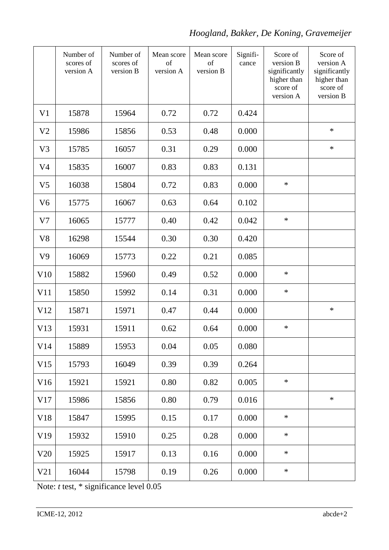|                | Number of<br>scores of<br>version A | Number of<br>scores of<br>version B | Mean score<br>of<br>version A | Mean score<br>of<br>version B | Signifi-<br>cance | Score of<br>version B<br>significantly<br>higher than<br>score of<br>version A | Score of<br>version A<br>significantly<br>higher than<br>score of<br>version B |
|----------------|-------------------------------------|-------------------------------------|-------------------------------|-------------------------------|-------------------|--------------------------------------------------------------------------------|--------------------------------------------------------------------------------|
| V <sub>1</sub> | 15878                               | 15964                               | 0.72                          | 0.72                          | 0.424             |                                                                                |                                                                                |
| V <sub>2</sub> | 15986                               | 15856                               | 0.53                          | 0.48                          | 0.000             |                                                                                | $\ast$                                                                         |
| V <sub>3</sub> | 15785                               | 16057                               | 0.31                          | 0.29                          | 0.000             |                                                                                | $\ast$                                                                         |
| V <sub>4</sub> | 15835                               | 16007                               | 0.83                          | 0.83                          | 0.131             |                                                                                |                                                                                |
| V <sub>5</sub> | 16038                               | 15804                               | 0.72                          | 0.83                          | 0.000             | $\ast$                                                                         |                                                                                |
| V <sub>6</sub> | 15775                               | 16067                               | 0.63                          | 0.64                          | 0.102             |                                                                                |                                                                                |
| V <sub>7</sub> | 16065                               | 15777                               | 0.40                          | 0.42                          | 0.042             | $\ast$                                                                         |                                                                                |
| V <sub>8</sub> | 16298                               | 15544                               | 0.30                          | 0.30                          | 0.420             |                                                                                |                                                                                |
| V <sub>9</sub> | 16069                               | 15773                               | 0.22                          | 0.21                          | 0.085             |                                                                                |                                                                                |
| V10            | 15882                               | 15960                               | 0.49                          | 0.52                          | 0.000             | $\ast$                                                                         |                                                                                |
| V11            | 15850                               | 15992                               | 0.14                          | 0.31                          | 0.000             | $\ast$                                                                         |                                                                                |
| V12            | 15871                               | 15971                               | 0.47                          | 0.44                          | 0.000             |                                                                                | $\ast$                                                                         |
| V13            | 15931                               | 15911                               | 0.62                          | 0.64                          | 0.000             | $\ast$                                                                         |                                                                                |
| V14            | 15889                               | 15953                               | 0.04                          | 0.05                          | 0.080             |                                                                                |                                                                                |
| V15            | 15793                               | 16049                               | 0.39                          | 0.39                          | 0.264             |                                                                                |                                                                                |
| V16            | 15921                               | 15921                               | 0.80                          | 0.82                          | 0.005             | $\ast$                                                                         |                                                                                |
| V17            | 15986                               | 15856                               | 0.80                          | 0.79                          | 0.016             |                                                                                | $\ast$                                                                         |
| V18            | 15847                               | 15995                               | 0.15                          | 0.17                          | 0.000             | $\ast$                                                                         |                                                                                |
| V19            | 15932                               | 15910                               | 0.25                          | 0.28                          | 0.000             | $\ast$                                                                         |                                                                                |
| V20            | 15925                               | 15917                               | 0.13                          | 0.16                          | 0.000             | $\ast$                                                                         |                                                                                |
| V21            | 16044                               | 15798                               | 0.19                          | 0.26                          | 0.000             | $\ast$                                                                         |                                                                                |

Note: *t* test, \* significance level 0.05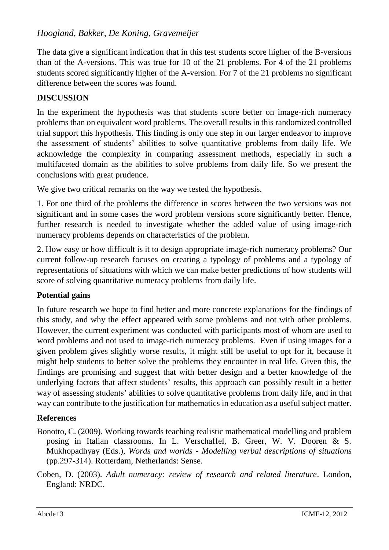The data give a significant indication that in this test students score higher of the B-versions than of the A-versions. This was true for 10 of the 21 problems. For 4 of the 21 problems students scored significantly higher of the A-version. For 7 of the 21 problems no significant difference between the scores was found.

### **DISCUSSION**

In the experiment the hypothesis was that students score better on image-rich numeracy problems than on equivalent word problems. The overall results in this randomized controlled trial support this hypothesis. This finding is only one step in our larger endeavor to improve the assessment of students' abilities to solve quantitative problems from daily life. We acknowledge the complexity in comparing assessment methods, especially in such a multifaceted domain as the abilities to solve problems from daily life. So we present the conclusions with great prudence.

We give two critical remarks on the way we tested the hypothesis.

1. For one third of the problems the difference in scores between the two versions was not significant and in some cases the word problem versions score significantly better. Hence, further research is needed to investigate whether the added value of using image-rich numeracy problems depends on characteristics of the problem.

2. How easy or how difficult is it to design appropriate image-rich numeracy problems? Our current follow-up research focuses on creating a typology of problems and a typology of representations of situations with which we can make better predictions of how students will score of solving quantitative numeracy problems from daily life.

#### **Potential gains**

In future research we hope to find better and more concrete explanations for the findings of this study, and why the effect appeared with some problems and not with other problems. However, the current experiment was conducted with participants most of whom are used to word problems and not used to image-rich numeracy problems. Even if using images for a given problem gives slightly worse results, it might still be useful to opt for it, because it might help students to better solve the problems they encounter in real life. Given this, the findings are promising and suggest that with better design and a better knowledge of the underlying factors that affect students' results, this approach can possibly result in a better way of assessing students' abilities to solve quantitative problems from daily life, and in that way can contribute to the justification for mathematics in education as a useful subject matter.

#### **References**

- Bonotto, C. (2009). Working towards teaching realistic mathematical modelling and problem posing in Italian classrooms. In L. Verschaffel, B. Greer, W. V. Dooren & S. Mukhopadhyay (Eds.), *Words and worlds - Modelling verbal descriptions of situations* (pp.297-314). Rotterdam, Netherlands: Sense.
- Coben, D. (2003). *Adult numeracy: review of research and related literature*. London, England: NRDC.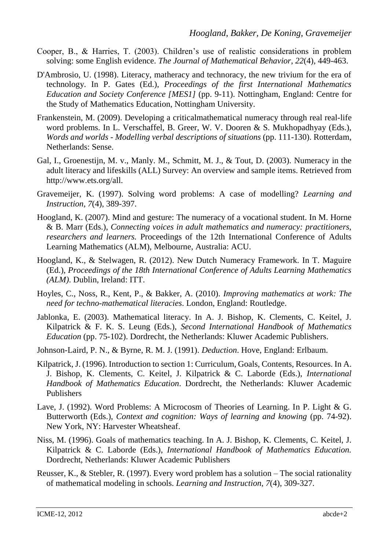- Cooper, B., & Harries, T. (2003). Children's use of realistic considerations in problem solving: some English evidence. *The Journal of Mathematical Behavior*, *22*(4)*,* 449-463.
- D'Ambrosio, U. (1998). Literacy, matheracy and technoracy, the new trivium for the era of technology. In P. Gates (Ed.), *Proceedings of the first International Mathematics Education and Society Conference [MES1]* (pp. 9-11). Nottingham, England: Centre for the Study of Mathematics Education, Nottingham University.
- Frankenstein, M. (2009). Developing a criticalmathematical numeracy through real real-life word problems. In L. Verschaffel, B. Greer, W. V. Dooren & S. Mukhopadhyay (Eds.), *Words and worlds - Modelling verbal descriptions of situations* (pp. 111-130). Rotterdam, Netherlands: Sense.
- Gal, I., Groenestijn, M. v., Manly. M., Schmitt, M. J., & Tout, D. (2003). Numeracy in the adult literacy and lifeskills (ALL) Survey: An overview and sample items. Retrieved from http://www.ets.org/all.
- Gravemeijer, K. (1997). Solving word problems: A case of modelling? *Learning and Instruction, 7*(4), 389-397.
- Hoogland, K. (2007). Mind and gesture: The numeracy of a vocational student. In M. Horne & B. Marr (Eds.), *Connecting voices in adult mathematics and numeracy: practitioners, researchers and learners.* Proceedings of the 12th International Conference of Adults Learning Mathematics (ALM), Melbourne, Australia: ACU.
- Hoogland, K., & Stelwagen, R. (2012). New Dutch Numeracy Framework. In T. Maguire (Ed.), *Proceedings of the 18th International Conference of Adults Learning Mathematics (ALM)*. Dublin, Ireland: ITT.
- Hoyles, C., Noss, R., Kent, P., & Bakker, A. (2010). *Improving mathematics at work: The need for techno-mathematical literacies*. London, England: Routledge.
- Jablonka, E. (2003). Mathematical literacy. In A. J. Bishop, K. Clements, C. Keitel, J. Kilpatrick & F. K. S. Leung (Eds.), *Second International Handbook of Mathematics Education* (pp. 75-102). Dordrecht, the Netherlands: Kluwer Academic Publishers.
- Johnson-Laird, P. N., & Byrne, R. M. J. (1991). *Deduction*. Hove, England: Erlbaum.
- Kilpatrick, J. (1996). Introduction to section 1: Curriculum, Goals, Contents, Resources. In A. J. Bishop, K. Clements, C. Keitel, J. Kilpatrick & C. Laborde (Eds.), *International Handbook of Mathematics Education*. Dordrecht, the Netherlands: Kluwer Academic Publishers
- Lave, J. (1992). Word Problems: A Microcosm of Theories of Learning. In P. Light & G. Butterworth (Eds.), *Context and cognition: Ways of learning and knowing* (pp. 74-92). New York, NY: Harvester Wheatsheaf.
- Niss, M. (1996). Goals of mathematics teaching. In A. J. Bishop, K. Clements, C. Keitel, J. Kilpatrick & C. Laborde (Eds.), *International Handbook of Mathematics Education.* Dordrecht, Netherlands: Kluwer Academic Publishers
- Reusser, K., & Stebler, R. (1997). Every word problem has a solution The social rationality of mathematical modeling in schools. *Learning and Instruction*, *7*(4), 309-327.